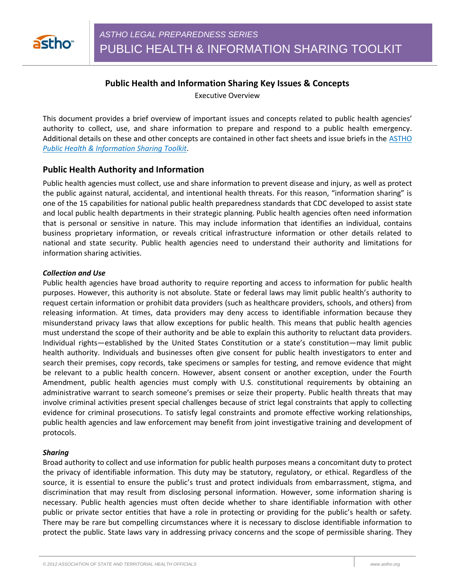

# **Public Health and Information Sharing Key Issues & Concepts**

Executive Overview

This document provides a brief overview of important issues and concepts related to public health agencies' authority to collect, use, and share information to prepare and respond to a public health emergency. Additional details on these and other concepts are contained in other fact sheets and issue briefs in the **ASTHO** *Public Health & Information Sharing Toolkit*.

## **Public Health Authority and Information**

Public health agencies must collect, use and share information to prevent disease and injury, as well as protect the public against natural, accidental, and intentional health threats. For this reason, "information sharing" is one of the 15 capabilities for national public health preparedness standards that CDC developed to assist state and local public health departments in their strategic planning. Public health agencies often need information that is personal or sensitive in nature. This may include information that identifies an individual, contains business proprietary information, or reveals critical infrastructure information or other details related to national and state security. Public health agencies need to understand their authority and limitations for information sharing activities.

### *Collection and Use*

Public health agencies have broad authority to require reporting and access to information for public health purposes. However, this authority is not absolute. State or federal laws may limit public health's authority to request certain information or prohibit data providers (such as healthcare providers, schools, and others) from releasing information. At times, data providers may deny access to identifiable information because they misunderstand privacy laws that allow exceptions for public health. This means that public health agencies must understand the scope of their authority and be able to explain this authority to reluctant data providers. Individual rights—established by the United States Constitution or a state's constitution—may limit public health authority. Individuals and businesses often give consent for public health investigators to enter and search their premises, copy records, take specimens or samples for testing, and remove evidence that might be relevant to a public health concern. However, absent consent or another exception, under the Fourth Amendment, public health agencies must comply with U.S. constitutional requirements by obtaining an administrative warrant to search someone's premises or seize their property. Public health threats that may involve criminal activities present special challenges because of strict legal constraints that apply to collecting evidence for criminal prosecutions. To satisfy legal constraints and promote effective working relationships, public health agencies and law enforcement may benefit from joint investigative training and development of protocols.

### *Sharing*

Broad authority to collect and use information for public health purposes means a concomitant duty to protect the privacy of identifiable information. This duty may be statutory, regulatory, or ethical. Regardless of the source, it is essential to ensure the public's trust and protect individuals from embarrassment, stigma, and discrimination that may result from disclosing personal information. However, some information sharing is necessary. Public health agencies must often decide whether to share identifiable information with other public or private sector entities that have a role in protecting or providing for the public's health or safety. There may be rare but compelling circumstances where it is necessary to disclose identifiable information to protect the public. State laws vary in addressing privacy concerns and the scope of permissible sharing. They